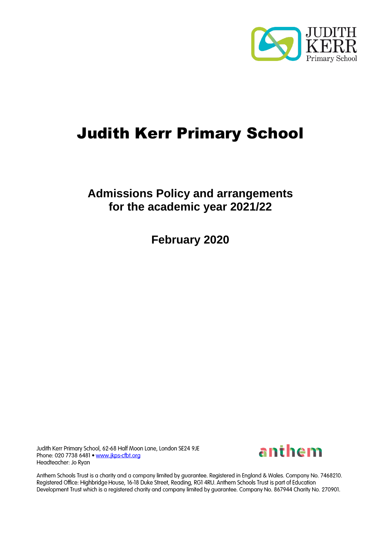

# Judith Kerr Primary School

# **Admissions Policy and arrangements for the academic year 2021/22**

**February 2020**

Judith Kerr Primary School, 62-68 Half Moon Lane, London SE24 9JE Phone: 020 7738 6481 . www.jkps-cfbt.org Headteacher: Jo Ryan



Anthem Schools Trust is a charity and a company limited by guarantee. Registered in England & Wales. Company No. 7468210. Registered Office: Highbridge House, 16-18 Duke Street, Reading, RG1 4RU. Anthem Schools Trust is part of Education Development Trust which is a registered charity and company limited by guarantee. Company No. 867944 Charity No. 270901.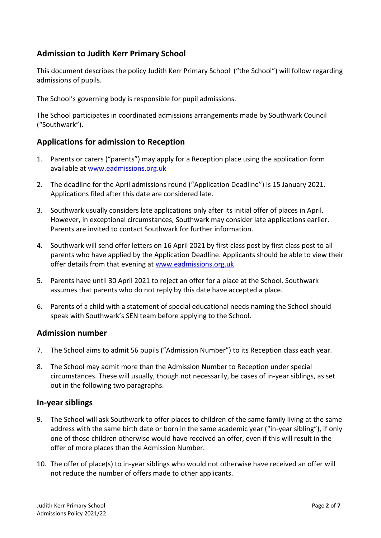## **Admission to Judith Kerr Primary School**

This document describes the policy Judith Kerr Primary School ("the School") will follow regarding admissions of pupils.

The School's governing body is responsible for pupil admissions.

The School participates in coordinated admissions arrangements made by Southwark Council ("Southwark").

#### **Applications for admission to Reception**

- 1. Parents or carers ("parents") may apply for a Reception place using the application form available at [www.eadmissions.org.uk](http://www.eadmissions.org.uk/)
- 2. The deadline for the April admissions round ("Application Deadline") is 15 January 2021. Applications filed after this date are considered late.
- 3. Southwark usually considers late applications only after its initial offer of places in April. However, in exceptional circumstances, Southwark may consider late applications earlier. Parents are invited to contact Southwark for further information.
- 4. Southwark will send offer letters on 16 April 2021 by first class post by first class post to all parents who have applied by the Application Deadline. Applicants should be able to view their offer details from that evening at www.eadmissions.org.uk
- 5. Parents have until 30 April 2021 to reject an offer for a place at the School. Southwark assumes that parents who do not reply by this date have accepted a place.
- 6. Parents of a child with a statement of special educational needs naming the School should speak with Southwark's SEN team before applying to the School.

#### **Admission number**

- 7. The School aims to admit 56 pupils ("Admission Number") to its Reception class each year.
- 8. The School may admit more than the Admission Number to Reception under special circumstances. These will usually, though not necessarily, be cases of in-year siblings, as set out in the following two paragraphs.

#### **In-year siblings**

- 9. The School will ask Southwark to offer places to children of the same family living at the same address with the same birth date or born in the same academic year ("in-year sibling"), if only one of those children otherwise would have received an offer, even if this will result in the offer of more places than the Admission Number.
- 10. The offer of place(s) to in-year siblings who would not otherwise have received an offer will not reduce the number of offers made to other applicants.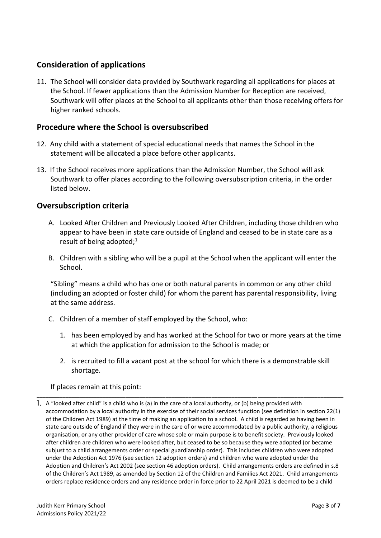# **Consideration of applications**

11. The School will consider data provided by Southwark regarding all applications for places at the School. If fewer applications than the Admission Number for Reception are received, Southwark will offer places at the School to all applicants other than those receiving offers for higher ranked schools.

#### **Procedure where the School is oversubscribed**

- 12. Any child with a statement of special educational needs that names the School in the statement will be allocated a place before other applicants.
- 13. If the School receives more applications than the Admission Number, the School will ask Southwark to offer places according to the following oversubscription criteria, in the order listed below.

#### **Oversubscription criteria**

- A. Looked After Children and Previously Looked After Children, including those children who appear to have been in state care outside of England and ceased to be in state care as a result of being adopted;<sup>1</sup>
- B. Children with a sibling who will be a pupil at the School when the applicant will enter the School.

"Sibling" means a child who has one or both natural parents in common or any other child (including an adopted or foster child) for whom the parent has parental responsibility, living at the same address.

- C. Children of a member of staff employed by the School, who:
	- 1. has been employed by and has worked at the School for two or more years at the time at which the application for admission to the School is made; or
	- 2. is recruited to fill a vacant post at the school for which there is a demonstrable skill shortage.

#### If places remain at this point:

1. A "looked after child" is a child who is (a) in the care of a local authority, or (b) being provided with accommodation by a local authority in the exercise of their social services function (see definition in section 22(1) of the Children Act 1989) at the time of making an application to a school. A child is regarded as having been in state care outside of England if they were in the care of or were accommodated by a public authority, a religious organisation, or any other provider of care whose sole or main purpose is to benefit society. Previously looked after children are children who were looked after, but ceased to be so because they were adopted (or became subjust to a child arrangements order or special guardianship order). This includes children who were adopted under the Adoption Act 1976 (see section 12 adoption orders) and children who were adopted under the Adoption and Children's Act 2002 (see section 46 adoption orders). Child arrangements orders are defined in s.8 of the Children's Act 1989, as amended by Section 12 of the Children and Families Act 2021. Child arrangements orders replace residence orders and any residence order in force prior to 22 April 2021 is deemed to be a child

\_\_\_\_\_\_\_\_\_\_\_\_\_\_\_\_\_\_\_\_\_\_\_\_\_\_\_\_\_\_\_\_\_\_\_\_\_\_\_\_\_\_\_\_\_\_\_\_\_\_\_\_\_\_\_\_\_\_\_\_\_\_\_\_\_\_\_\_\_\_\_\_\_\_\_\_\_\_\_\_\_\_\_\_\_\_\_\_\_\_\_\_\_\_\_\_\_\_\_\_\_\_\_\_\_\_\_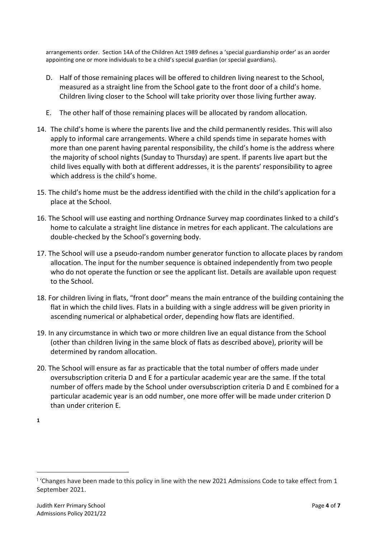arrangements order. Section 14A of the Children Act 1989 defines a 'special guardianship order' as an aorder appointing one or more individuals to be a child's special guardian (or special guardians).

- D. Half of those remaining places will be offered to children living nearest to the School, measured as a straight line from the School gate to the front door of a child's home. Children living closer to the School will take priority over those living further away.
- E. The other half of those remaining places will be allocated by random allocation.
- 14. The child's home is where the parents live and the child permanently resides. This will also apply to informal care arrangements. Where a child spends time in separate homes with more than one parent having parental responsibility, the child's home is the address where the majority of school nights (Sunday to Thursday) are spent. If parents live apart but the child lives equally with both at different addresses, it is the parents' responsibility to agree which address is the child's home.
- 15. The child's home must be the address identified with the child in the child's application for a place at the School.
- 16. The School will use easting and northing Ordnance Survey map coordinates linked to a child's home to calculate a straight line distance in metres for each applicant. The calculations are double-checked by the School's governing body.
- 17. The School will use a pseudo-random number generator function to allocate places by random allocation. The input for the number sequence is obtained independently from two people who do not operate the function or see the applicant list. Details are available upon request to the School.
- 18. For children living in flats, "front door" means the main entrance of the building containing the flat in which the child lives. Flats in a building with a single address will be given priority in ascending numerical or alphabetical order, depending how flats are identified.
- 19. In any circumstance in which two or more children live an equal distance from the School (other than children living in the same block of flats as described above), priority will be determined by random allocation.
- 20. The School will ensure as far as practicable that the total number of offers made under oversubscription criteria D and E for a particular academic year are the same. If the total number of offers made by the School under oversubscription criteria D and E combined for a particular academic year is an odd number, one more offer will be made under criterion D than under criterion E.

**<sup>1</sup>**

<sup>&</sup>lt;sup>1</sup> 'Changes have been made to this policy in line with the new 2021 Admissions Code to take effect from 1 September 2021.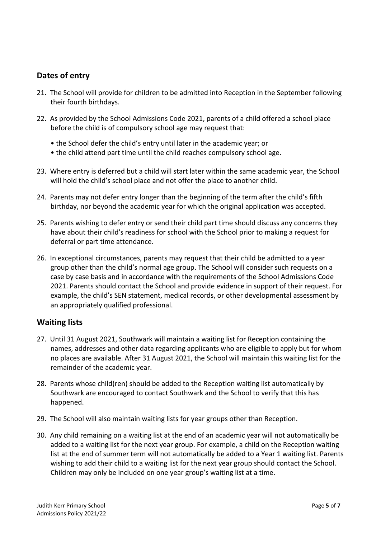# **Dates of entry**

- 21. The School will provide for children to be admitted into Reception in the September following their fourth birthdays.
- 22. As provided by the School Admissions Code 2021, parents of a child offered a school place before the child is of compulsory school age may request that:
	- the School defer the child's entry until later in the academic year; or
	- the child attend part time until the child reaches compulsory school age.
- 23. Where entry is deferred but a child will start later within the same academic year, the School will hold the child's school place and not offer the place to another child.
- 24. Parents may not defer entry longer than the beginning of the term after the child's fifth birthday, nor beyond the academic year for which the original application was accepted.
- 25. Parents wishing to defer entry or send their child part time should discuss any concerns they have about their child's readiness for school with the School prior to making a request for deferral or part time attendance.
- 26. In exceptional circumstances, parents may request that their child be admitted to a year group other than the child's normal age group. The School will consider such requests on a case by case basis and in accordance with the requirements of the School Admissions Code 2021. Parents should contact the School and provide evidence in support of their request. For example, the child's SEN statement, medical records, or other developmental assessment by an appropriately qualified professional.

#### **Waiting lists**

- 27. Until 31 August 2021, Southwark will maintain a waiting list for Reception containing the names, addresses and other data regarding applicants who are eligible to apply but for whom no places are available. After 31 August 2021, the School will maintain this waiting list for the remainder of the academic year.
- 28. Parents whose child(ren) should be added to the Reception waiting list automatically by Southwark are encouraged to contact Southwark and the School to verify that this has happened.
- 29. The School will also maintain waiting lists for year groups other than Reception.
- 30. Any child remaining on a waiting list at the end of an academic year will not automatically be added to a waiting list for the next year group. For example, a child on the Reception waiting list at the end of summer term will not automatically be added to a Year 1 waiting list. Parents wishing to add their child to a waiting list for the next year group should contact the School. Children may only be included on one year group's waiting list at a time.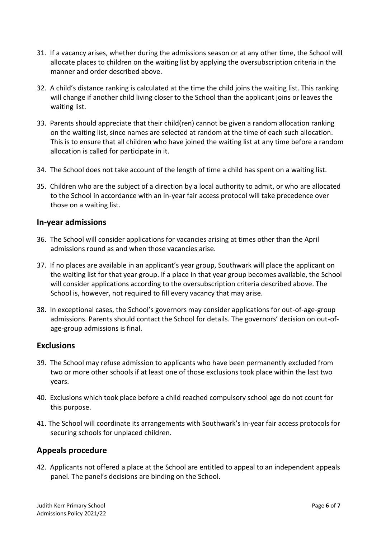- 31. If a vacancy arises, whether during the admissions season or at any other time, the School will allocate places to children on the waiting list by applying the oversubscription criteria in the manner and order described above.
- 32. A child's distance ranking is calculated at the time the child joins the waiting list. This ranking will change if another child living closer to the School than the applicant joins or leaves the waiting list.
- 33. Parents should appreciate that their child(ren) cannot be given a random allocation ranking on the waiting list, since names are selected at random at the time of each such allocation. This is to ensure that all children who have joined the waiting list at any time before a random allocation is called for participate in it.
- 34. The School does not take account of the length of time a child has spent on a waiting list.
- 35. Children who are the subject of a direction by a local authority to admit, or who are allocated to the School in accordance with an in-year fair access protocol will take precedence over those on a waiting list.

#### **In-year admissions**

- 36. The School will consider applications for vacancies arising at times other than the April admissions round as and when those vacancies arise.
- 37. If no places are available in an applicant's year group, Southwark will place the applicant on the waiting list for that year group. If a place in that year group becomes available, the School will consider applications according to the oversubscription criteria described above. The School is, however, not required to fill every vacancy that may arise.
- 38. In exceptional cases, the School's governors may consider applications for out-of-age-group admissions. Parents should contact the School for details. The governors' decision on out-ofage-group admissions is final.

#### **Exclusions**

- 39. The School may refuse admission to applicants who have been permanently excluded from two or more other schools if at least one of those exclusions took place within the last two years.
- 40. Exclusions which took place before a child reached compulsory school age do not count for this purpose.
- 41. The School will coordinate its arrangements with Southwark's in-year fair access protocols for securing schools for unplaced children.

#### **Appeals procedure**

42. Applicants not offered a place at the School are entitled to appeal to an independent appeals panel. The panel's decisions are binding on the School.